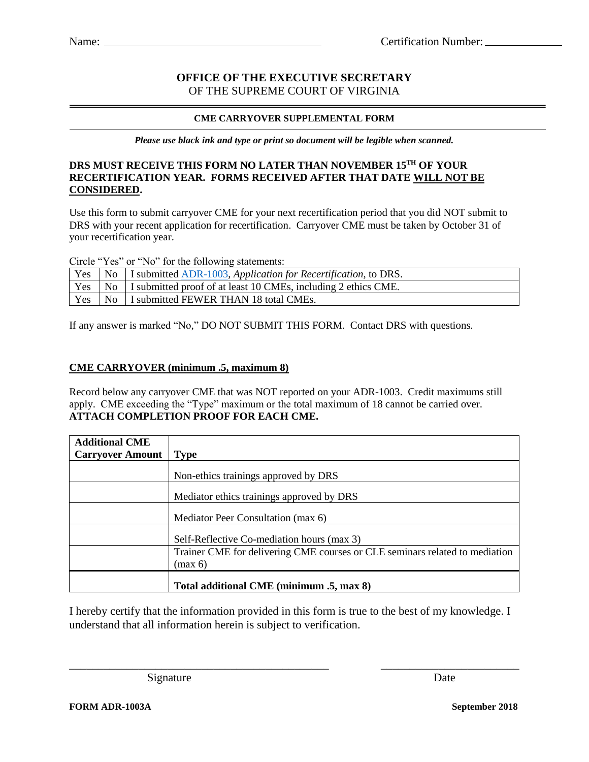## **OFFICE OF THE EXECUTIVE SECRETARY** OF THE SUPREME COURT OF VIRGINIA

#### **CME CARRYOVER SUPPLEMENTAL FORM**

*Please use black ink and type or print so document will be legible when scanned.*

## **DRS MUST RECEIVE THIS FORM NO LATER THAN NOVEMBER 15TH OF YOUR RECERTIFICATION YEAR. FORMS RECEIVED AFTER THAT DATE WILL NOT BE CONSIDERED.**

Use this form to submit carryover CME for your next recertification period that you did NOT submit to DRS with your recent application for recertification. Carryover CME must be taken by October 31 of your recertification year.

Circle "Yes" or "No" for the following statements:

|  | Yes   No   I submitted <u>ADR-1003</u> , Application for Recertification, to DRS. |
|--|-----------------------------------------------------------------------------------|
|  | Yes   No   I submitted proof of at least 10 CMEs, including 2 ethics CME.         |
|  | Yes   No   I submitted FEWER THAN 18 total CMEs.                                  |

If any answer is marked "No," DO NOT SUBMIT THIS FORM. Contact DRS with questions.

### **CME CARRYOVER (minimum .5, maximum 8)**

Record below any carryover CME that was NOT reported on your ADR-1003. Credit maximums still apply. CME exceeding the "Type" maximum or the total maximum of 18 cannot be carried over. **ATTACH COMPLETION PROOF FOR EACH CME.**

| <b>Additional CME</b>   |                                                                                        |
|-------------------------|----------------------------------------------------------------------------------------|
| <b>Carryover Amount</b> | Type                                                                                   |
|                         | Non-ethics trainings approved by DRS                                                   |
|                         | Mediator ethics trainings approved by DRS                                              |
|                         | Mediator Peer Consultation (max 6)                                                     |
|                         | Self-Reflective Co-mediation hours (max 3)                                             |
|                         | Trainer CME for delivering CME courses or CLE seminars related to mediation<br>(max 6) |
|                         | Total additional CME (minimum .5, max 8)                                               |

I hereby certify that the information provided in this form is true to the best of my knowledge. I understand that all information herein is subject to verification.

\_\_\_\_\_\_\_\_\_\_\_\_\_\_\_\_\_\_\_\_\_\_\_\_\_\_\_\_\_\_\_\_\_\_\_\_\_\_\_\_\_\_\_\_\_ \_\_\_\_\_\_\_\_\_\_\_\_\_\_\_\_\_\_\_\_\_\_\_\_

Signature Date